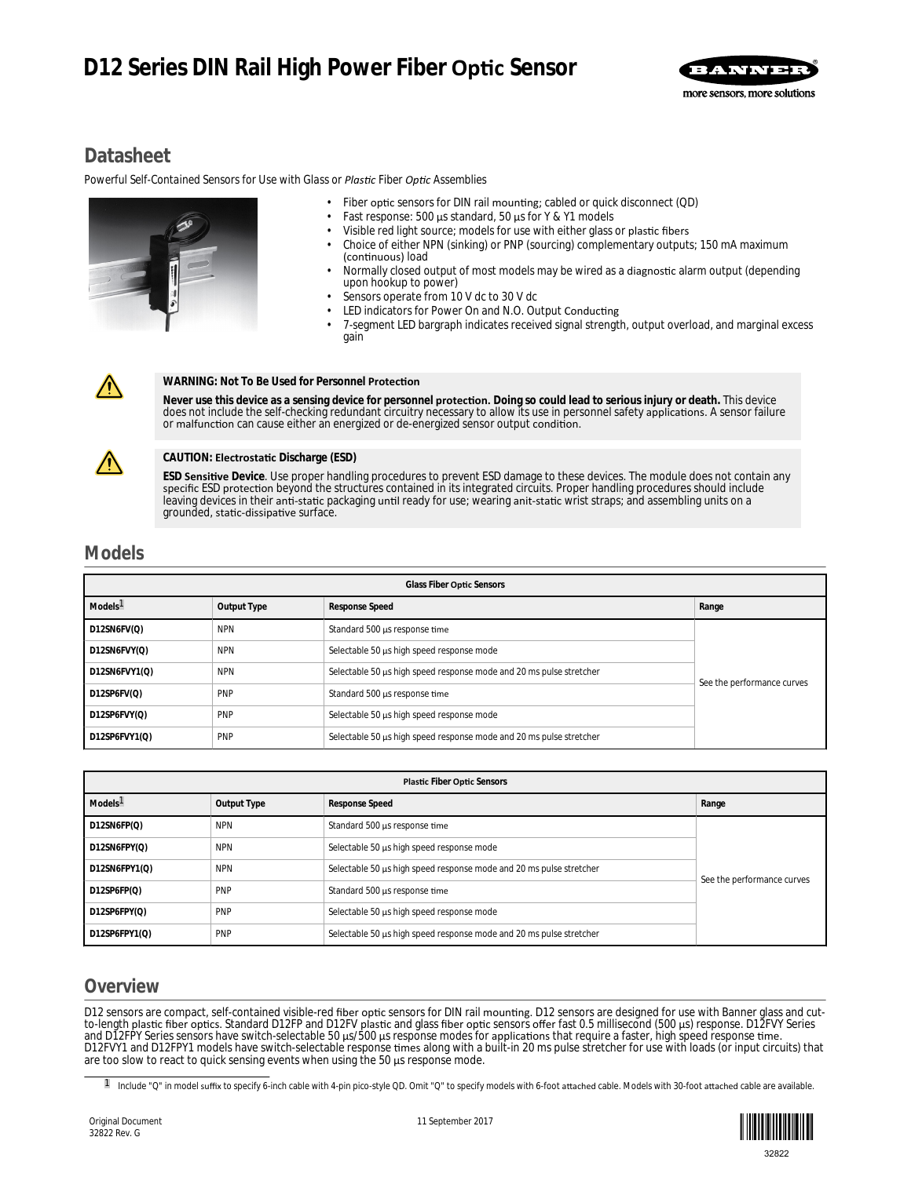# **D12 Series DIN Rail High Power Fiber Optic Sensor**



## **Datasheet**

*Powerful Self-Contained Sensors for Use with Glass or Plastic Fiber Optic Assemblies* 



- Fiber optic sensors for DIN rail mounting; cabled or quick disconnect (QD)
- Fast response: 500 μs standard, 50 μs for Y & Y1 models
- Visible red light source; models for use with either glass or plastic fibers
- Choice of either NPN (sinking) or PNP (sourcing) complementary outputs; 150 mA maximum (continuous) load
- Normally closed output of most models may be wired as a diagnostic alarm output (depending upon hookup to power)
- Sensors operate from 10 V dc to 30 V dc
- LED indicators for Power On and N.O. Output Conducting
- 7-segment LED bargraph indicates received signal strength, output overload, and marginal excess gain



#### **WARNING: Not To Be Used for Personnel Protection**

Never use this device as a sensing device for personnel **protection.** Doing so could lead to serious injury or death. This device does not include the self-checking redundant circuitry necessary to allow its use in personnel safety applications. A sensor failure or malfunction can cause either an energized or de-energized sensor output condition.



#### **CAUTION: Electrostatic Discharge (ESD)**

**ESD <b>Sensitive** Device. Use proper handling procedures to prevent ESD damage to these devices. The module does not contain any specific ESD protection beyond the structures contained in its integrated circuits. Proper handling procedures should include leaving devices in their anti-static packaging until ready for use; wearing anit-static wrist straps; and assembling units on a grounded, static-dissipative surface.

### **Models**

| Glass Fiber Optic Sensors |             |                                                                     |                            |  |
|---------------------------|-------------|---------------------------------------------------------------------|----------------------------|--|
| Models <sup>1</sup>       | Output Type | Response Speed                                                      | Range                      |  |
| D12SN6FV(Q)               | <b>NPN</b>  | Standard 500 µs response time                                       | See the performance curves |  |
| D12SN6FVY(Q)              | <b>NPN</b>  | Selectable 50 µs high speed response mode                           |                            |  |
| D12SN6FVY1(Q)             | <b>NPN</b>  | Selectable 50 µs high speed response mode and 20 ms pulse stretcher |                            |  |
| D12SP6FV(Q)               | <b>PNP</b>  | Standard 500 µs response time                                       |                            |  |
| D12SP6FVY(Q)              | <b>PNP</b>  | Selectable 50 µs high speed response mode                           |                            |  |
| D12SP6FVY1(Q)             | <b>PNP</b>  | Selectable 50 µs high speed response mode and 20 ms pulse stretcher |                            |  |

| <b>Plastic Fiber Optic Sensors</b> |             |                                                                     |                            |  |
|------------------------------------|-------------|---------------------------------------------------------------------|----------------------------|--|
| Models <sup>1</sup>                | Output Type | Response Speed                                                      | Range                      |  |
| D12SN6FP(Q)                        | <b>NPN</b>  | Standard 500 µs response time                                       |                            |  |
| D12SN6FPY(Q)                       | <b>NPN</b>  | Selectable 50 µs high speed response mode                           |                            |  |
| D12SN6FPY1(Q)                      | <b>NPN</b>  | Selectable 50 µs high speed response mode and 20 ms pulse stretcher |                            |  |
| D12SP6FP(Q)                        | PNP         | Standard 500 µs response time                                       | See the performance curves |  |
| D12SP6FPY(Q)                       | <b>PNP</b>  | Selectable 50 µs high speed response mode                           |                            |  |
| D12SP6FPY1(Q)                      | <b>PNP</b>  | Selectable 50 µs high speed response mode and 20 ms pulse stretcher |                            |  |

### **Overview**

D12 sensors are compact, self-contained visible-red fiber optic sensors for DIN rail mounting. D12 sensors are designed for use with Banner glass and cutto-length plastic fiber optics. Standard D12FP and D12FV plastic and glass fiber optic sensors offer fast 0.5 millisecond (500 μs) response. D12FVY Series and D12FPY Series sensors have switch-selectable 50 μs/500 μs response modes for applications that require a faster, high speed response time. D12FVY1 and D12FPY1 models have switch-selectable response times along with a built-in 20 ms pulse stretcher for use with loads (or input circuits) that are too slow to react to quick sensing events when using the 50 μs response mode.

II Include "Q" in model suffix to specify 6-inch cable with 4-pin pico-style QD. Omit "Q" to specify models with 6-foot attached cable. Models with 30-foot attached cable are available.

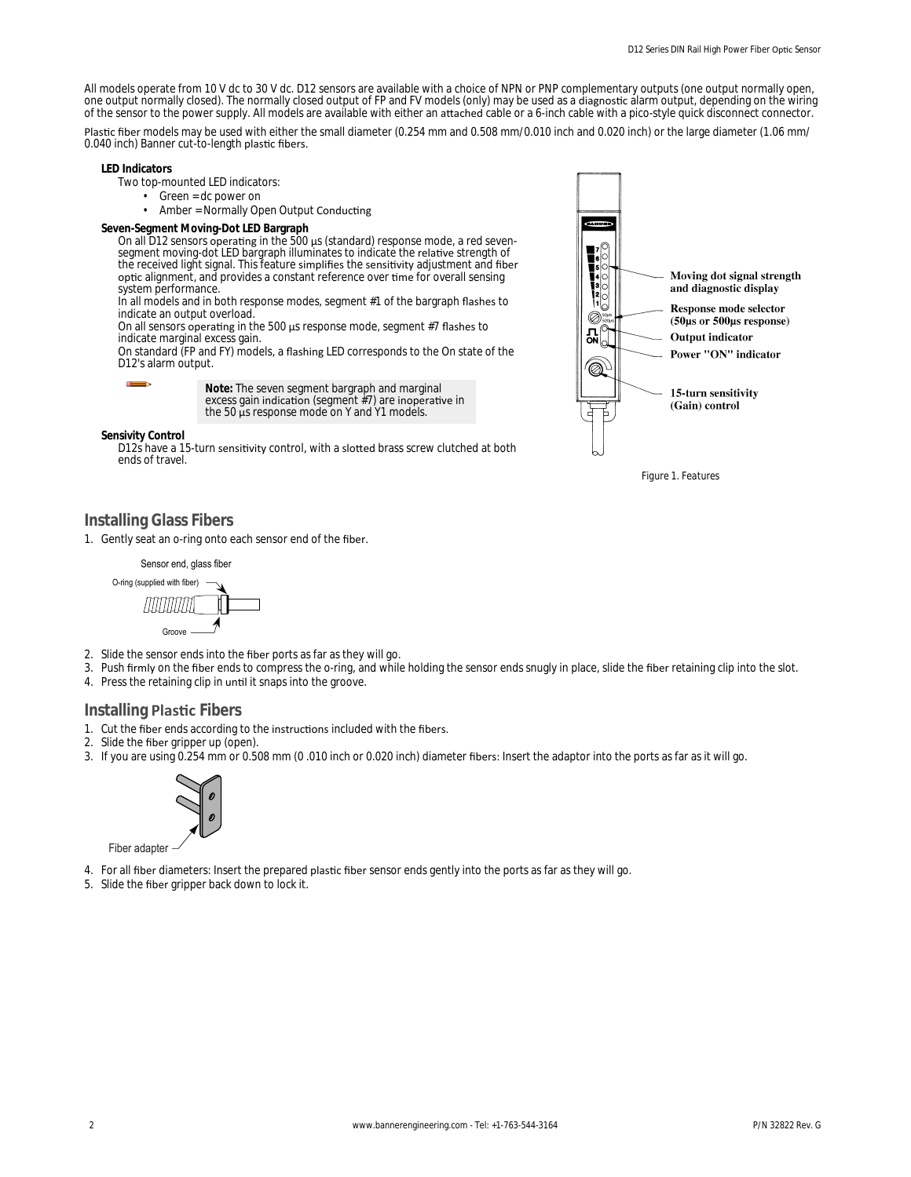All models operate from 10 V dc to 30 V dc. D12 sensors are available with a choice of NPN or PNP complementary outputs (one output normally open, one output normally closed). The normally closed output of FP and FV models (only) may be used as a diagnostic alarm output, depending on the wiring of the sensor to the power supply. All models are available with either an attached cable or a 6-inch cable with a pico-style quick disconnect connector.

Plastic fiber models may be used with either the small diameter (0.254 mm and 0.508 mm/0.010 inch and 0.020 inch) or the large diameter (1.06 mm/ 0.040 inch) Banner cut-to-length plastic fibers.

**LED Indicators**

- Two top-mounted LED indicators:
	- Green = dc power on
	- Amber = Normally Open Output Conducting

**Seven-Segment Moving-Dot LED Bargraph**

On all D12 sensors operating in the 500  $\mu$ s (standard) response mode, a red sevensegment moving-dot LED bargraph illuminates to indicate the relative strength of the received light signal. This feature simplifies the sensitivity adjustment and fiber optic alignment, and provides a constant reference over time for overall sensing system performance.

In all models and in both response modes, segment #1 of the bargraph flashes to indicate an output overload.

On all sensors operating in the 500  $\mu$ s response mode, segment #7 flashes to indicate marginal excess gain.

On standard (FP and FY) models, a flashing LED corresponds to the On state of the D12's alarm output.



**Note:** The seven segment bargraph and marginal excess gain indication (segment  $#7$ ) are inoperative in the 50 μs response mode on Y and Y1 models.

**Sensivity Control**

D12s have a 15-turn sensitivity control, with a slotted brass screw clutched at both ends of travel.



*Figure 1. Features*

### **Installing Glass Fibers**

1. Gently seat an o-ring onto each sensor end of the fiber.



- 2. Slide the sensor ends into the fiber ports as far as they will go.
- 3. Push firmly on the fiber ends to compress the o-ring, and while holding the sensor ends snugly in place, slide the fiber retaining clip into the slot.
- 4. Press the retaining clip in until it snaps into the groove.

### **Installing Plastic Fibers**

- 1. Cut the fiber ends according to the instructions included with the fibers.
- 2. Slide the fiber gripper up (open).
- 3. If you are using 0.254 mm or 0.508 mm (0.010 inch or 0.020 inch) diameter fibers: Insert the adaptor into the ports as far as it will go.



Fiber adapter

- 4. For all fiber diameters: Insert the prepared plastic fiber sensor ends gently into the ports as far as they will go.
- 5. Slide the fiber gripper back down to lock it.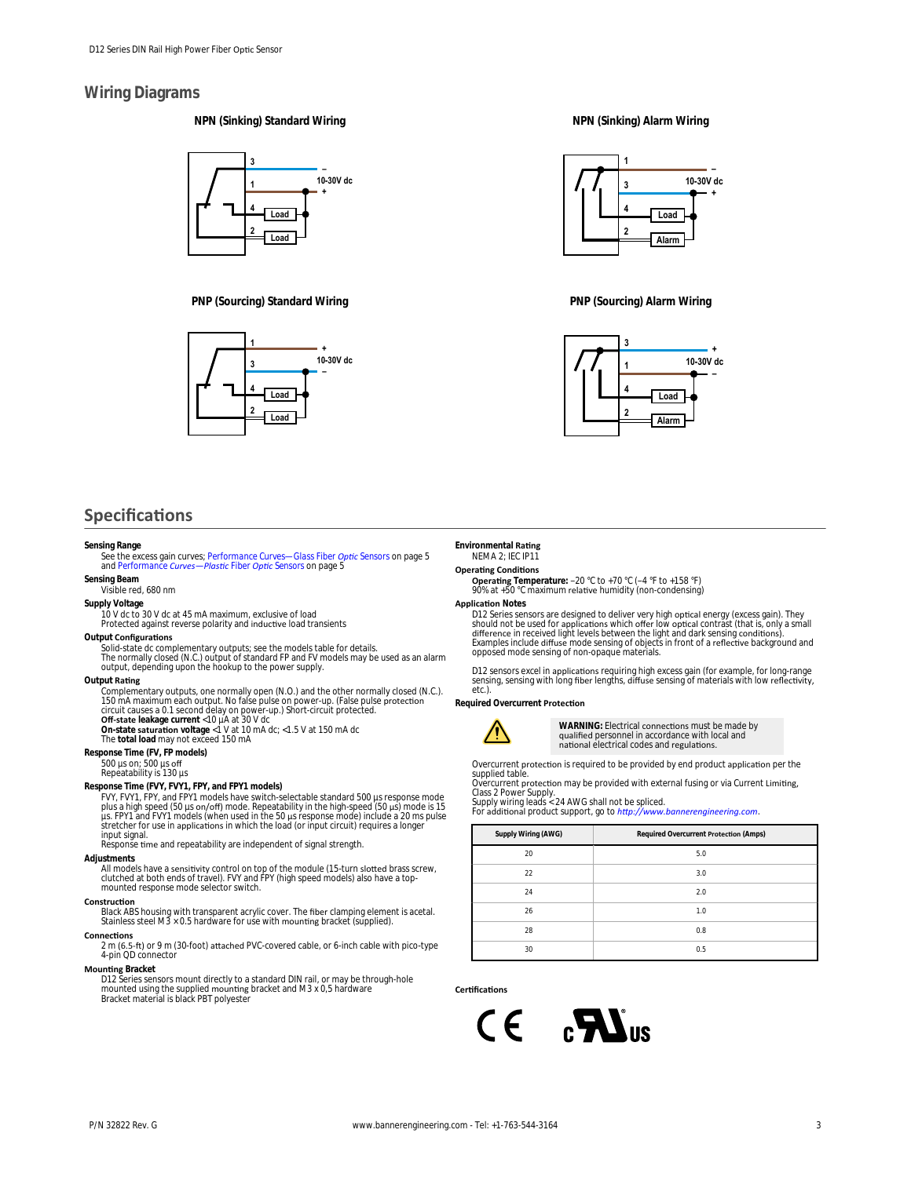### **Wiring Diagrams**

**NPN (Sinking) Standard Wiring**



**PNP (Sourcing) Standard Wiring**



### **Specifications**

#### **Sensing Range**

See the excess gain curves; *[Performance Curves—Glass Fiber](#page-4-0) Optic Sensors* on page 5<br>and *Performance Curves—Plastic Fiber Optic Sensors* on page 5

**Sensing Beam** Visible red, 680 nm

**Supply Voltage**

10 V dc to 30 V dc at 45 mA maximum, exclusive of load<br>Protected against reverse polarity and inductive load transients

**Output Configurations** 

Solid-state dc complementary outputs; see the models table for details.<br>The normally closed (N.C.) output of standard FP and FV models may be used as an alarm<br>output, depending upon the hookup to the power supply.

**Output Rating** 

Complementary outputs, one normally open (N.O.) and the other normally closed (N.C.). 150 mA maximum each output. No false pulse on power-up. (False pulse protection<br>circuit causes a 0.1 second delay on power-up.) Short-circuit protected.<br>**Off-state leakage current <10 µA at 30 V dc**<br>**On-state saturation** v

**Response Time (FV, FP models)**

500 µs on; 500 µs off<br>Repeatability is 130 µs

**Response Time (FVY, FVY1, FPY, and FPY1 models)** FVY, FVY1, FPY, and FPY1 models have switch-selectable standard 500 µs response mode plus a high speed (50 μs on/off) mode. Repeatability in the high-speed (50 μs) mode is 15<br>μs. FPY1 and FVY1 models (when used in the 50 μs response mode) include a 20 ms pulse stretcher for use in applications in which the load (or input circuit) requires a longer input signal. reponse time and repeatability are independent of signal strength.

#### **Adjustments**

All models have a sensitivity control on top of the module (15-turn slotted brass screw,<br>clutched at both ends of travel). FVY and FPY (high speed models) also have a topmounted response mode selector switch.

#### **Construction**

Black ABS housing with transparent acrylic cover. The fiber clamping element is acetal.<br>Stainless steel M3 × 0.5 hardware for use with mounting bracket (supplied).

#### **Connections**

2 m (6.5-ft) or 9 m (30-foot) attached PVC-covered cable, or 6-inch cable with pico-type<br>4-pin QD connector

**Mounting Bracket** 

D12 Series sensors mount directly to a standard DIN rail, or may be through-hole<br>mounted using the supplied mounting bracket and M3 x 0,5 hardware<br>Bracket material is black PBT polyester

#### **NPN (Sinking) Alarm Wiring**



**PNP (Sourcing) Alarm Wiring**



#### **Environmental Rating** NEMA 2; IEC IP11

#### **Operating Conditions**

**Operating** Temperature: −20 °C to +70 °C (−4 °F to +158 °F)<br>90% at +50 °C maximum relative humidity (non-condensing)

**Application Notes** 

D12 Series sensors are designed to deliver very high optical energy (excess gain). They<br>should not be used for applications which offer low optical contrast (that is, only a small<br>difference in received light levels betwee

D12 sensors excel in applications requiring high excess gain (for example, for long-range sensing, sensing with long fiber lengths, diffuse sensing of materials with low reflectivity, etc.)

**Required Overcurrent Protection** 



WARNING: Electrical connections must be made by qualified personnel in accordance with local and<br>national electrical codes and regulations.

Overcurrent protection is required to be provided by end product application per the<br>supplied table.

Overcurrent protection may be provided with external fusing or via Current Limiting,<br>Class 2 Power Supply.<br>Supply wiring leads < 24 AWG shall not be spliced.<br>For additional product support, go to *http://www.bannerengineer* 

| Supply Wiring (AWG) | Required Overcurrent Protection (Amps) |
|---------------------|----------------------------------------|
| 20                  | 5.0                                    |
| 22                  | 3.0                                    |
| 24                  | 2.0                                    |
| 26                  | 1.0                                    |
| 28                  | 0.8                                    |
| 30                  | 0.5                                    |

#### Certifications

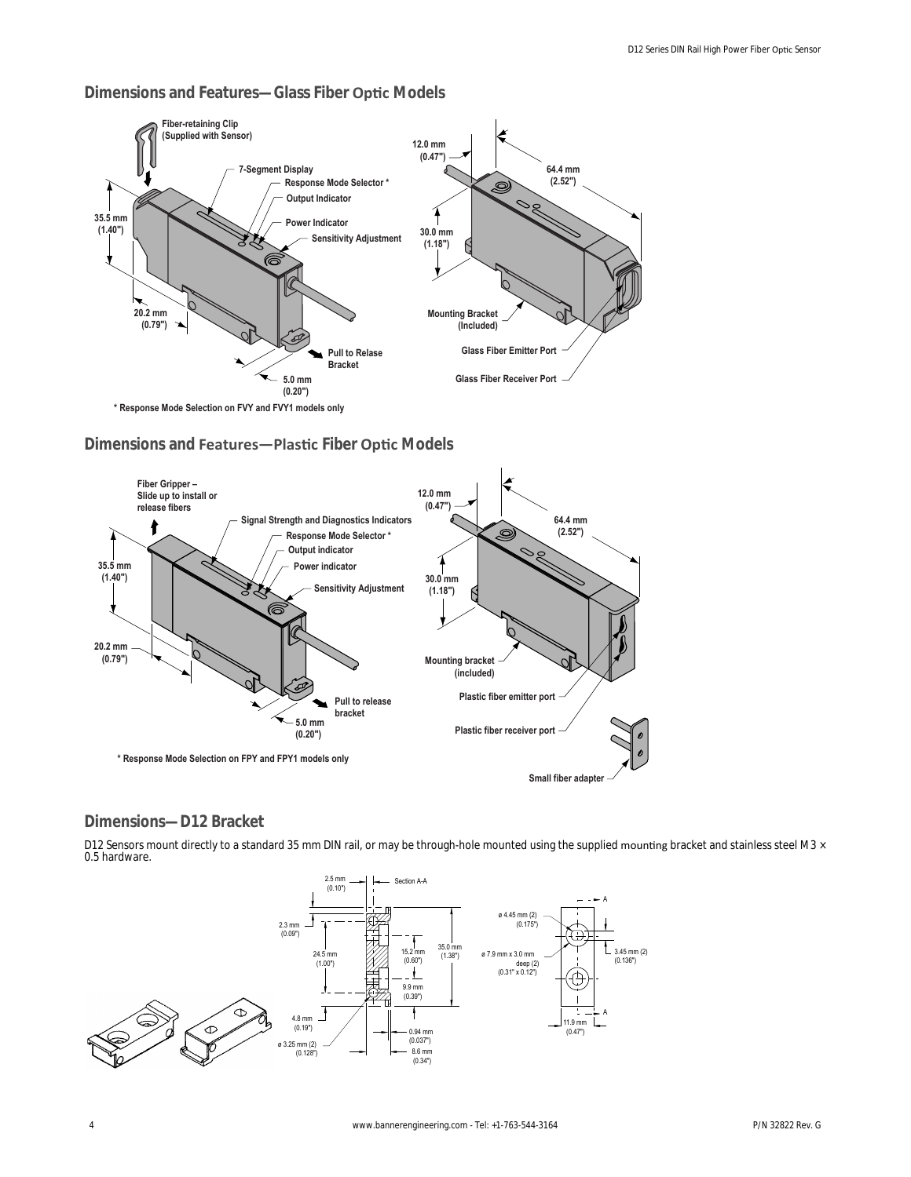#### **Fiber-retaining Clip (Supplied with Sensor) 12.0 mm (0.47") 7-Segment Display 64.4 mm Response Mode Selector \* (2.52") Output Indicator** Ί **35.5 mm Power Indicator (1.40") 30.0 mm Sensitivity Adjustment (1.18") 20.2 mm Mounting Bracket (0.79") (Included) Glass Fiber Emitter Port Pull to Relase Bracket Glass Fiber Receiver Port 5.0 mm (0.20")**

### **Dimensions and Features—Glass Fiber Optic Models**

**\* Response Mode Selection on FVY and FVY1 models only**

### **Dimensions and Features-Plastic Fiber Optic Models**



### **Dimensions—D12 Bracket**

D12 Sensors mount directly to a standard 35 mm DIN rail, or may be through-hole mounted using the supplied mounting bracket and stainless steel M3 × 0.5 hardware.

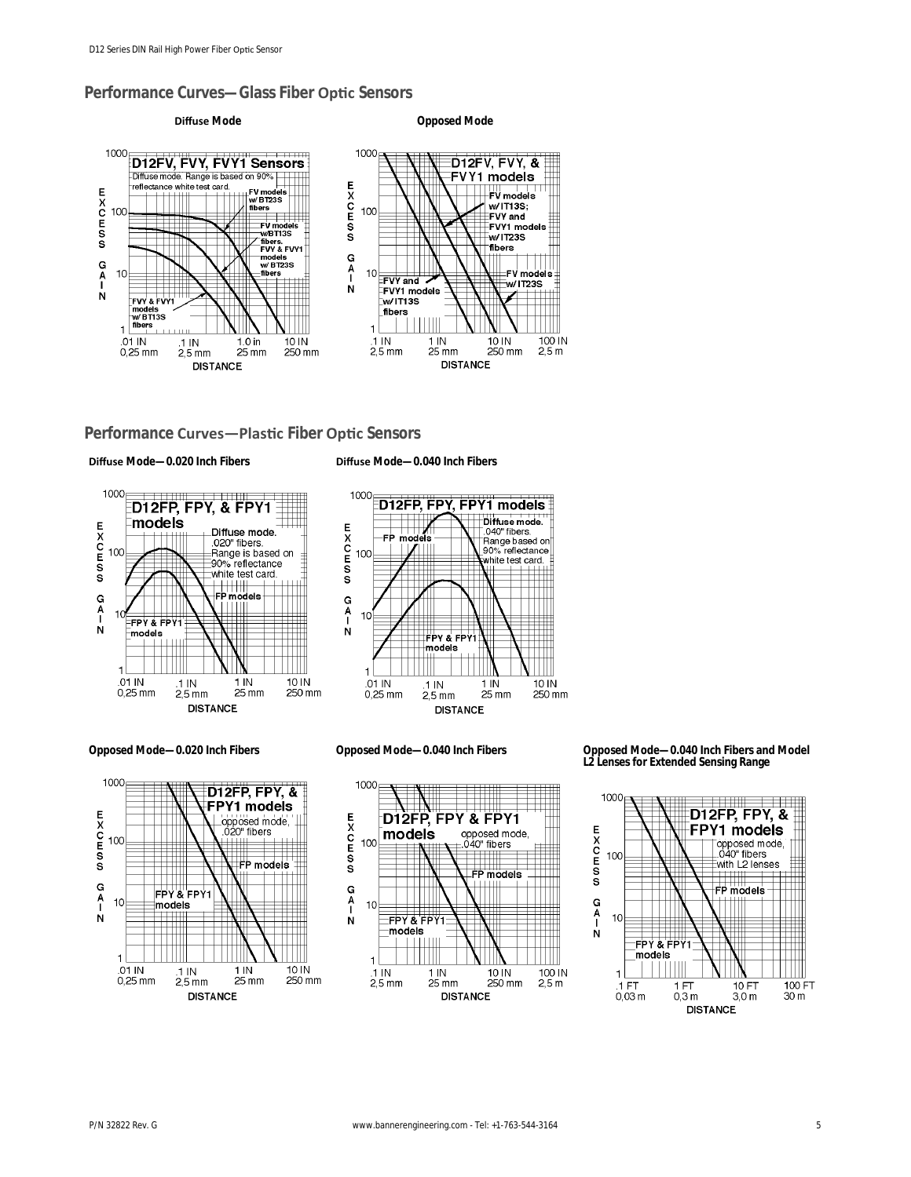### <span id="page-4-0"></span>**Performance Curves—Glass Fiber Optic Sensors**





### **Performance Curves-Plastic Fiber Optic Sensors**

**Diffuse** Mode-0.020 Inch Fibers **biffuse** Mode-0.040 Inch Fibers









**Opposed Mode—0.020 Inch Fibers Opposed Mode—0.040 Inch Fibers Opposed Mode—0.040 Inch Fibers and Model L2 Lenses for Extended Sensing Range**